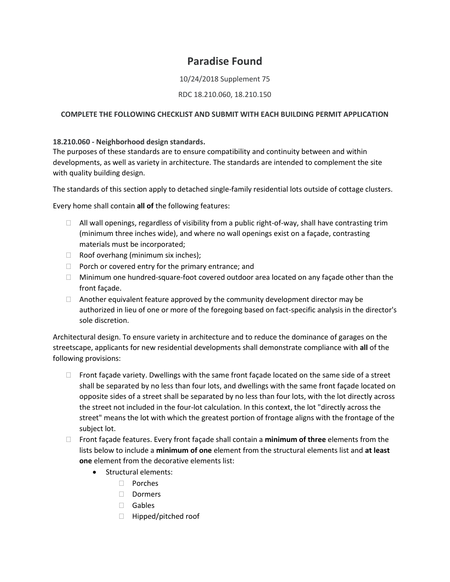# **Paradise Found**

# 10/24/2018 Supplement 75

# RDC 18.210.060, 18.210.150

# **COMPLETE THE FOLLOWING CHECKLIST AND SUBMIT WITH EACH BUILDING PERMIT APPLICATION**

# **18.210.060 - Neighborhood design standards.**

The purposes of these standards are to ensure compatibility and continuity between and within developments, as well as variety in architecture. The standards are intended to complement the site with quality building design.

The standards of this section apply to detached single-family residential lots outside of cottage clusters.

Every home shall contain **all of** the following features:

- $\Box$  All wall openings, regardless of visibility from a public right-of-way, shall have contrasting trim (minimum three inches wide), and where no wall openings exist on a façade, contrasting materials must be incorporated;
- $\Box$  Roof overhang (minimum six inches);
- $\Box$  Porch or covered entry for the primary entrance; and
- $\Box$  Minimum one hundred-square-foot covered outdoor area located on any facade other than the front façade.
- $\Box$  Another equivalent feature approved by the community development director may be authorized in lieu of one or more of the foregoing based on fact-specific analysis in the director's sole discretion.

Architectural design. To ensure variety in architecture and to reduce the dominance of garages on the streetscape, applicants for new residential developments shall demonstrate compliance with **all** of the following provisions:

- $\Box$  Front façade variety. Dwellings with the same front façade located on the same side of a street shall be separated by no less than four lots, and dwellings with the same front façade located on opposite sides of a street shall be separated by no less than four lots, with the lot directly across the street not included in the four-lot calculation. In this context, the lot "directly across the street" means the lot with which the greatest portion of frontage aligns with the frontage of the subject lot.
- Front façade features. Every front façade shall contain a **minimum of three** elements from the lists below to include a **minimum of one** element from the structural elements list and **at least one** element from the decorative elements list:
	- **Structural elements:** 
		- Porches
		- □ Dormers
		- Gables
		- □ Hipped/pitched roof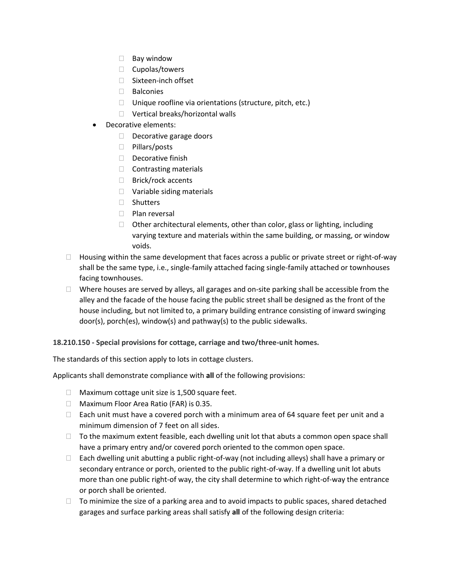- $\Box$  Bay window
- $\Box$  Cupolas/towers
- □ Sixteen-inch offset
- Balconies
- $\Box$  Unique roofline via orientations (structure, pitch, etc.)
- □ Vertical breaks/horizontal walls
- Decorative elements:
	- $\Box$  Decorative garage doors
	- □ Pillars/posts
	- Decorative finish
	- $\Box$  Contrasting materials
	- $\Box$  Brick/rock accents
	- □ Variable siding materials
	- □ Shutters
	- D Plan reversal
	- $\Box$  Other architectural elements, other than color, glass or lighting, including varying texture and materials within the same building, or massing, or window voids.
- $\Box$  Housing within the same development that faces across a public or private street or right-of-way shall be the same type, i.e., single-family attached facing single-family attached or townhouses facing townhouses.
- $\Box$  Where houses are served by alleys, all garages and on-site parking shall be accessible from the alley and the facade of the house facing the public street shall be designed as the front of the house including, but not limited to, a primary building entrance consisting of inward swinging door(s), porch(es), window(s) and pathway(s) to the public sidewalks.

**18.210.150 - Special provisions for cottage, carriage and two/three-unit homes.**

The standards of this section apply to lots in cottage clusters.

Applicants shall demonstrate compliance with **all** of the following provisions:

- $\Box$  Maximum cottage unit size is 1,500 square feet.
- □ Maximum Floor Area Ratio (FAR) is 0.35.
- $\Box$  Each unit must have a covered porch with a minimum area of 64 square feet per unit and a minimum dimension of 7 feet on all sides.
- $\Box$  To the maximum extent feasible, each dwelling unit lot that abuts a common open space shall have a primary entry and/or covered porch oriented to the common open space.
- $\Box$  Each dwelling unit abutting a public right-of-way (not including alleys) shall have a primary or secondary entrance or porch, oriented to the public right-of-way. If a dwelling unit lot abuts more than one public right-of way, the city shall determine to which right-of-way the entrance or porch shall be oriented.
- $\Box$  To minimize the size of a parking area and to avoid impacts to public spaces, shared detached garages and surface parking areas shall satisfy **all** of the following design criteria: